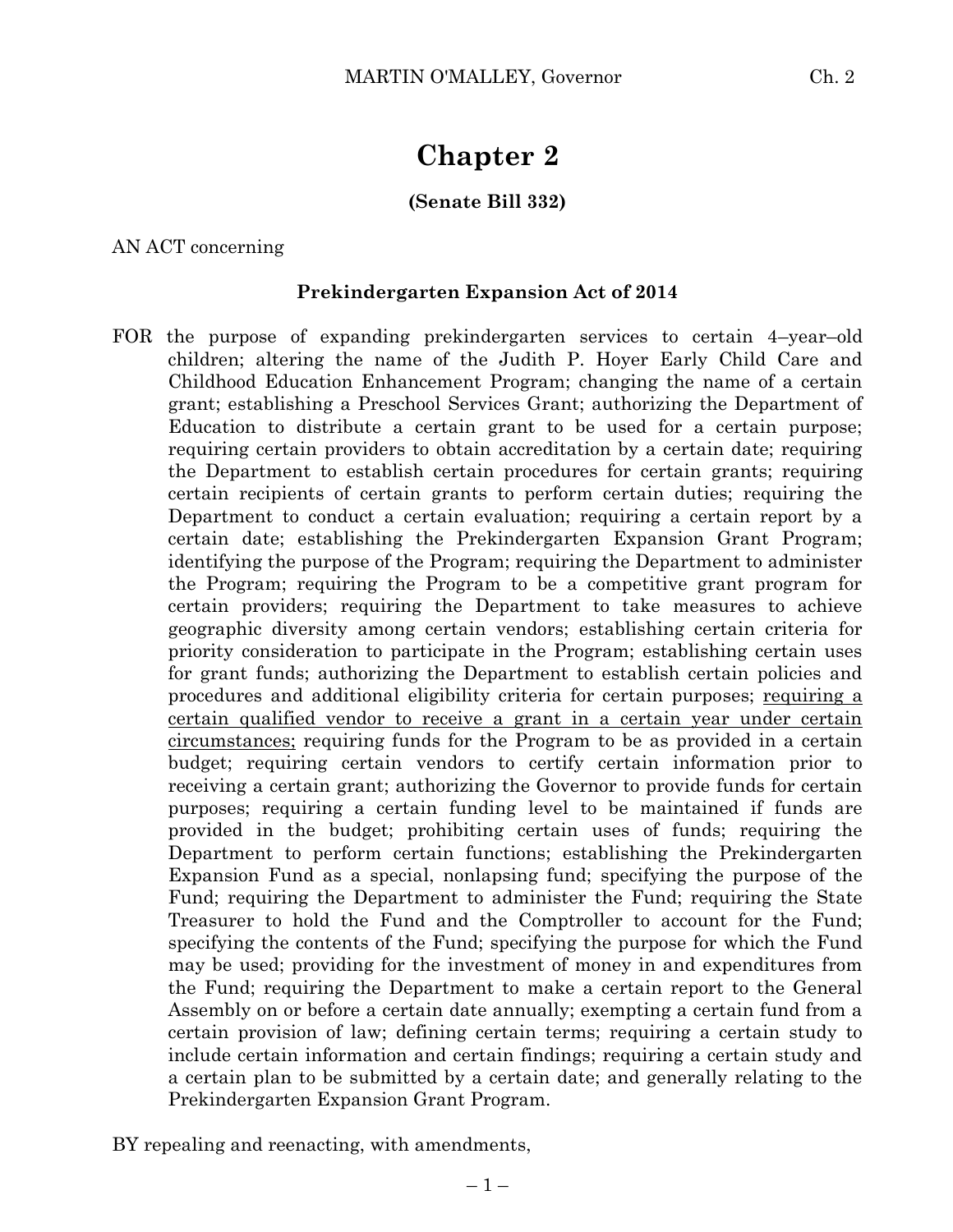# **Chapter 2**

## **(Senate Bill 332)**

### AN ACT concerning

### **Prekindergarten Expansion Act of 2014**

FOR the purpose of expanding prekindergarten services to certain 4–year–old children; altering the name of the Judith P. Hoyer Early Child Care and Childhood Education Enhancement Program; changing the name of a certain grant; establishing a Preschool Services Grant; authorizing the Department of Education to distribute a certain grant to be used for a certain purpose; requiring certain providers to obtain accreditation by a certain date; requiring the Department to establish certain procedures for certain grants; requiring certain recipients of certain grants to perform certain duties; requiring the Department to conduct a certain evaluation; requiring a certain report by a certain date; establishing the Prekindergarten Expansion Grant Program; identifying the purpose of the Program; requiring the Department to administer the Program; requiring the Program to be a competitive grant program for certain providers; requiring the Department to take measures to achieve geographic diversity among certain vendors; establishing certain criteria for priority consideration to participate in the Program; establishing certain uses for grant funds; authorizing the Department to establish certain policies and procedures and additional eligibility criteria for certain purposes; requiring a certain qualified vendor to receive a grant in a certain year under certain circumstances; requiring funds for the Program to be as provided in a certain budget; requiring certain vendors to certify certain information prior to receiving a certain grant; authorizing the Governor to provide funds for certain purposes; requiring a certain funding level to be maintained if funds are provided in the budget; prohibiting certain uses of funds; requiring the Department to perform certain functions; establishing the Prekindergarten Expansion Fund as a special, nonlapsing fund; specifying the purpose of the Fund; requiring the Department to administer the Fund; requiring the State Treasurer to hold the Fund and the Comptroller to account for the Fund; specifying the contents of the Fund; specifying the purpose for which the Fund may be used; providing for the investment of money in and expenditures from the Fund; requiring the Department to make a certain report to the General Assembly on or before a certain date annually; exempting a certain fund from a certain provision of law; defining certain terms; requiring a certain study to include certain information and certain findings; requiring a certain study and a certain plan to be submitted by a certain date; and generally relating to the Prekindergarten Expansion Grant Program.

BY repealing and reenacting, with amendments,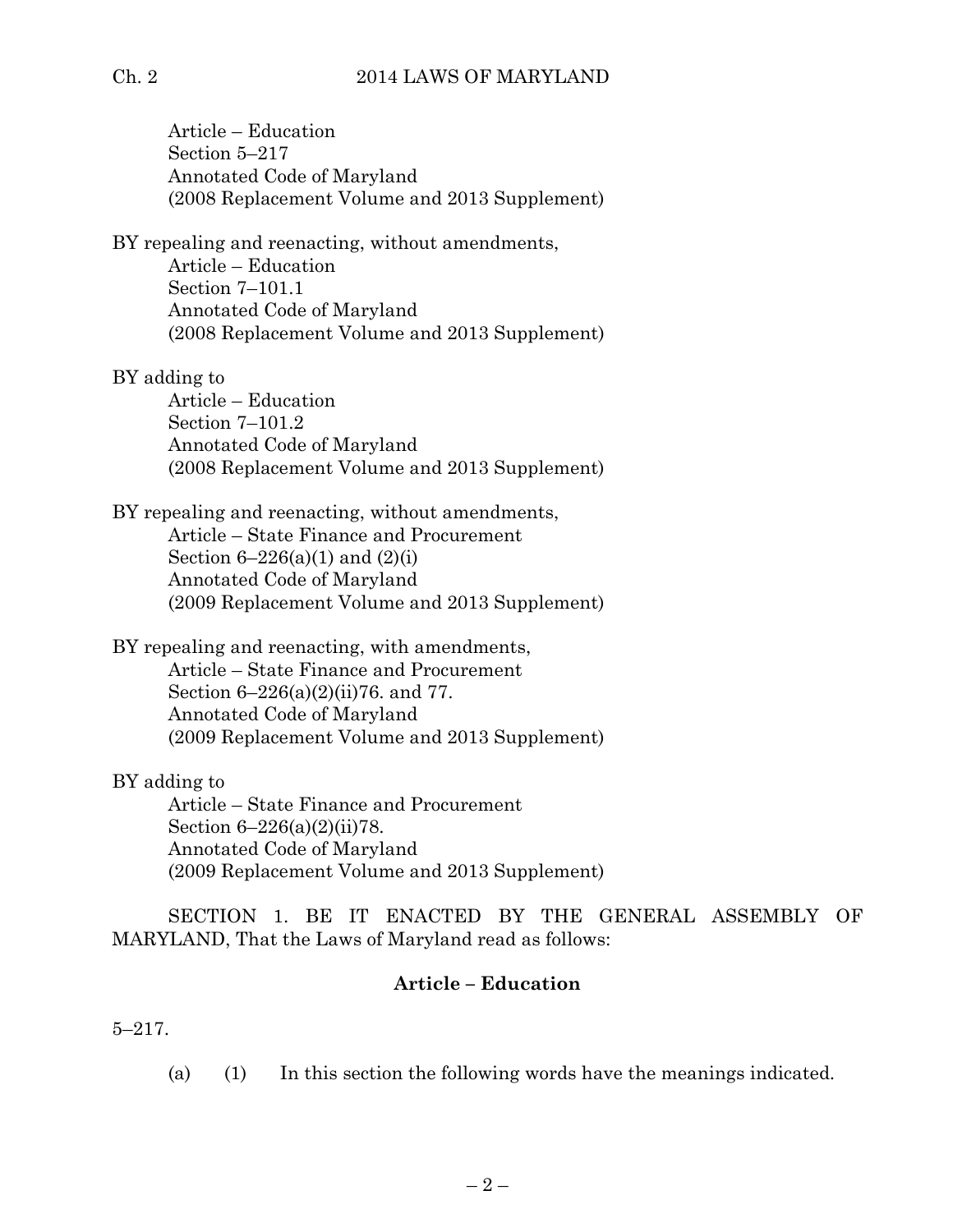# Ch. 2 2014 LAWS OF MARYLAND

Article – Education Section 5–217 Annotated Code of Maryland (2008 Replacement Volume and 2013 Supplement) BY repealing and reenacting, without amendments, Article – Education Section 7–101.1 Annotated Code of Maryland (2008 Replacement Volume and 2013 Supplement) BY adding to Article – Education Section 7–101.2 Annotated Code of Maryland (2008 Replacement Volume and 2013 Supplement) BY repealing and reenacting, without amendments, Article – State Finance and Procurement Section  $6 - 226(a)(1)$  and  $(2)(i)$ Annotated Code of Maryland (2009 Replacement Volume and 2013 Supplement) BY repealing and reenacting, with amendments, Article – State Finance and Procurement Section 6–226(a)(2)(ii)76. and 77. Annotated Code of Maryland (2009 Replacement Volume and 2013 Supplement) BY adding to Article – State Finance and Procurement Section 6–226(a)(2)(ii)78. Annotated Code of Maryland (2009 Replacement Volume and 2013 Supplement) SECTION 1. BE IT ENACTED BY THE GENERAL ASSEMBLY OF

MARYLAND, That the Laws of Maryland read as follows:

# **Article – Education**

5–217.

(a) (1) In this section the following words have the meanings indicated.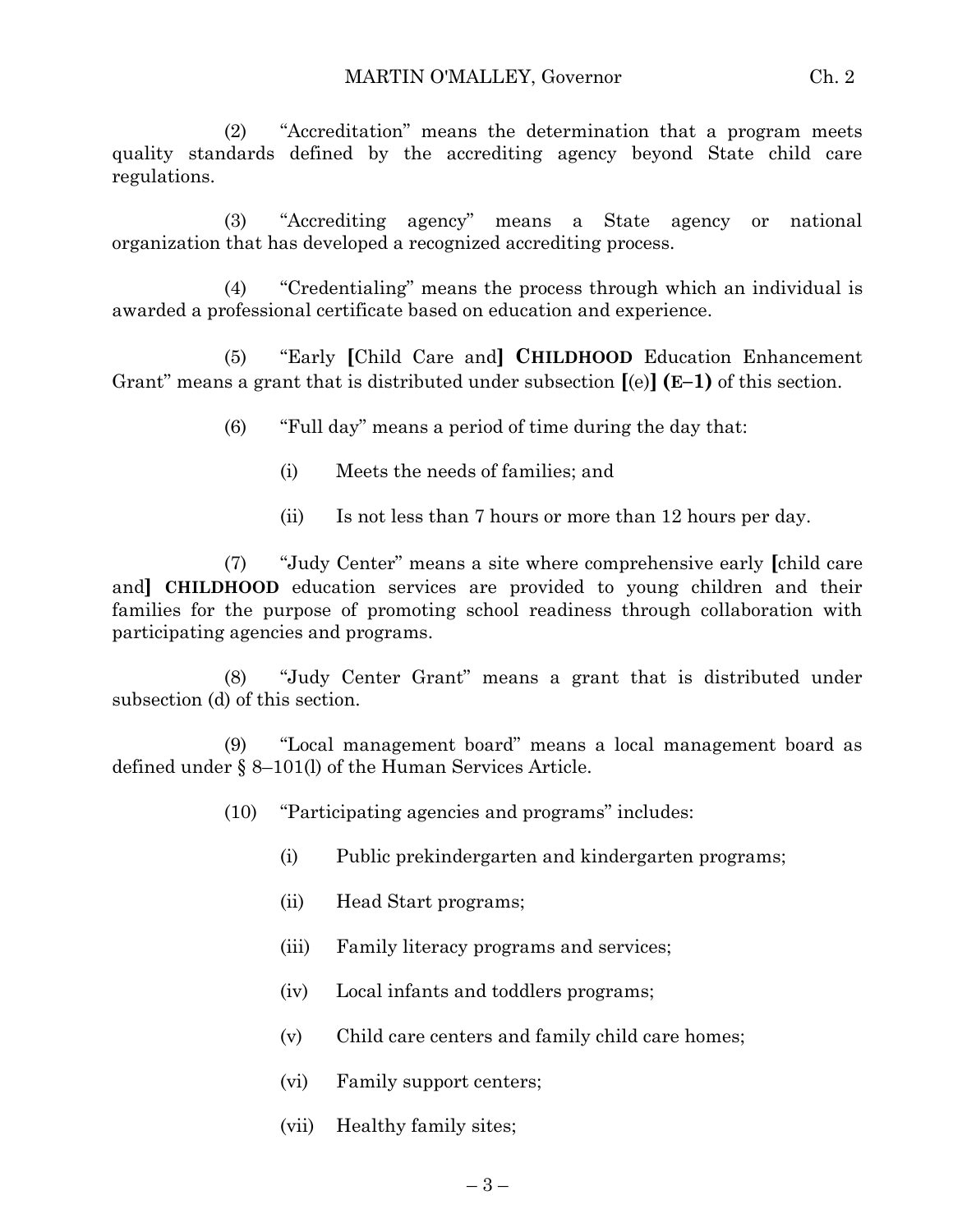(2) "Accreditation" means the determination that a program meets quality standards defined by the accrediting agency beyond State child care regulations.

(3) "Accrediting agency" means a State agency or national organization that has developed a recognized accrediting process.

(4) "Credentialing" means the process through which an individual is awarded a professional certificate based on education and experience.

(5) "Early **[**Child Care and**] CHILDHOOD** Education Enhancement Grant" means a grant that is distributed under subsection **[**(e)**] (E–1)** of this section.

(6) "Full day" means a period of time during the day that:

- (i) Meets the needs of families; and
- (ii) Is not less than 7 hours or more than 12 hours per day.

(7) "Judy Center" means a site where comprehensive early **[**child care and**] CHILDHOOD** education services are provided to young children and their families for the purpose of promoting school readiness through collaboration with participating agencies and programs.

(8) "Judy Center Grant" means a grant that is distributed under subsection (d) of this section.

(9) "Local management board" means a local management board as defined under § 8–101(l) of the Human Services Article.

- (10) "Participating agencies and programs" includes:
	- (i) Public prekindergarten and kindergarten programs;
	- (ii) Head Start programs;
	- (iii) Family literacy programs and services;
	- (iv) Local infants and toddlers programs;
	- (v) Child care centers and family child care homes;
	- (vi) Family support centers;
	- (vii) Healthy family sites;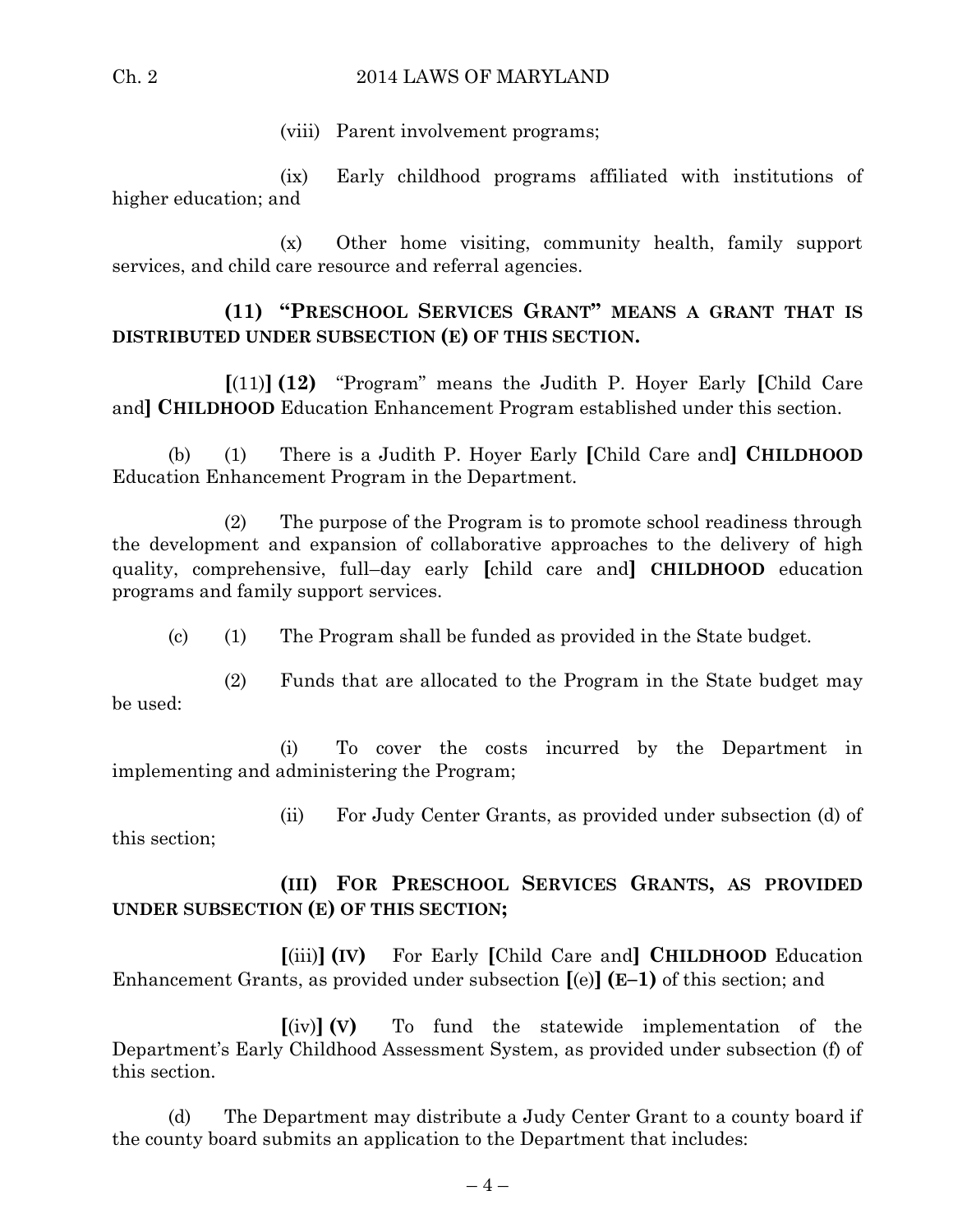### Ch. 2 2014 LAWS OF MARYLAND

(viii) Parent involvement programs;

(ix) Early childhood programs affiliated with institutions of higher education; and

(x) Other home visiting, community health, family support services, and child care resource and referral agencies.

# **(11) "PRESCHOOL SERVICES GRANT" MEANS A GRANT THAT IS DISTRIBUTED UNDER SUBSECTION (E) OF THIS SECTION.**

**[**(11)**] (12)** "Program" means the Judith P. Hoyer Early **[**Child Care and**] CHILDHOOD** Education Enhancement Program established under this section.

(b) (1) There is a Judith P. Hoyer Early **[**Child Care and**] CHILDHOOD** Education Enhancement Program in the Department.

(2) The purpose of the Program is to promote school readiness through the development and expansion of collaborative approaches to the delivery of high quality, comprehensive, full–day early **[**child care and**] CHILDHOOD** education programs and family support services.

(c) (1) The Program shall be funded as provided in the State budget.

(2) Funds that are allocated to the Program in the State budget may be used:

(i) To cover the costs incurred by the Department in implementing and administering the Program;

(ii) For Judy Center Grants, as provided under subsection (d) of this section;

**(III) FOR PRESCHOOL SERVICES GRANTS, AS PROVIDED UNDER SUBSECTION (E) OF THIS SECTION;**

**[**(iii)**] (IV)** For Early **[**Child Care and**] CHILDHOOD** Education Enhancement Grants, as provided under subsection **[**(e)**] (E–1)** of this section; and

**[**(iv)**] (V)** To fund the statewide implementation of the Department's Early Childhood Assessment System, as provided under subsection (f) of this section.

(d) The Department may distribute a Judy Center Grant to a county board if the county board submits an application to the Department that includes: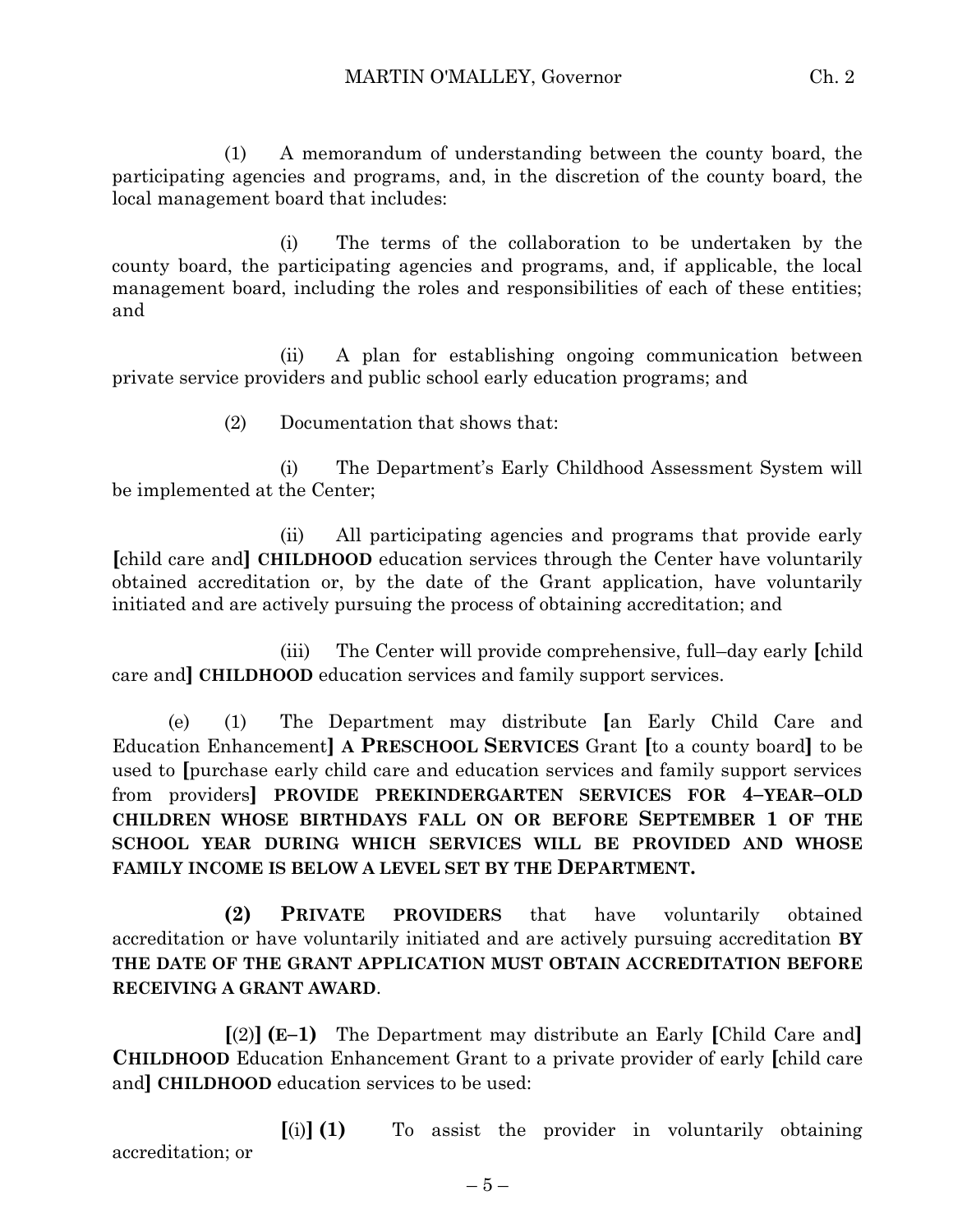(1) A memorandum of understanding between the county board, the participating agencies and programs, and, in the discretion of the county board, the local management board that includes:

(i) The terms of the collaboration to be undertaken by the county board, the participating agencies and programs, and, if applicable, the local management board, including the roles and responsibilities of each of these entities; and

(ii) A plan for establishing ongoing communication between private service providers and public school early education programs; and

(2) Documentation that shows that:

(i) The Department's Early Childhood Assessment System will be implemented at the Center;

(ii) All participating agencies and programs that provide early **[**child care and**] CHILDHOOD** education services through the Center have voluntarily obtained accreditation or, by the date of the Grant application, have voluntarily initiated and are actively pursuing the process of obtaining accreditation; and

(iii) The Center will provide comprehensive, full–day early **[**child care and**] CHILDHOOD** education services and family support services.

(e) (1) The Department may distribute **[**an Early Child Care and Education Enhancement**] A PRESCHOOL SERVICES** Grant **[**to a county board**]** to be used to **[**purchase early child care and education services and family support services from providers**] PROVIDE PREKINDERGARTEN SERVICES FOR 4–YEAR–OLD CHILDREN WHOSE BIRTHDAYS FALL ON OR BEFORE SEPTEMBER 1 OF THE SCHOOL YEAR DURING WHICH SERVICES WILL BE PROVIDED AND WHOSE FAMILY INCOME IS BELOW A LEVEL SET BY THE DEPARTMENT.**

**(2) PRIVATE PROVIDERS** that have voluntarily obtained accreditation or have voluntarily initiated and are actively pursuing accreditation **BY THE DATE OF THE GRANT APPLICATION MUST OBTAIN ACCREDITATION BEFORE RECEIVING A GRANT AWARD**.

**[**(2)**] (E–1)** The Department may distribute an Early **[**Child Care and**] CHILDHOOD** Education Enhancement Grant to a private provider of early **[**child care and**] CHILDHOOD** education services to be used:

**[**(i)**] (1)** To assist the provider in voluntarily obtaining accreditation; or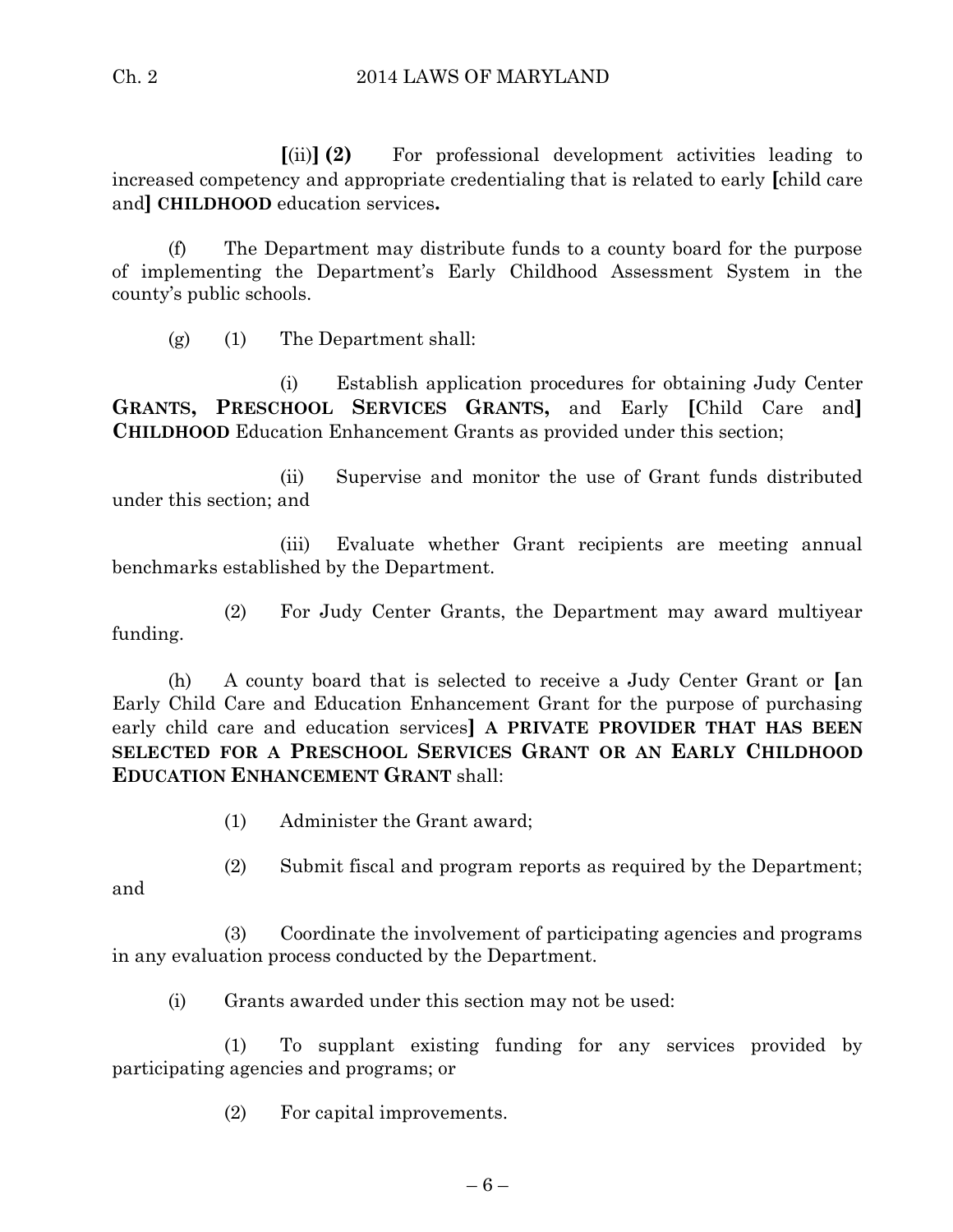**[**(ii)**] (2)** For professional development activities leading to increased competency and appropriate credentialing that is related to early **[**child care and**] CHILDHOOD** education services**.**

(f) The Department may distribute funds to a county board for the purpose of implementing the Department's Early Childhood Assessment System in the county's public schools.

(g) (1) The Department shall:

(i) Establish application procedures for obtaining Judy Center **GRANTS, PRESCHOOL SERVICES GRANTS,** and Early **[**Child Care and**] CHILDHOOD** Education Enhancement Grants as provided under this section;

(ii) Supervise and monitor the use of Grant funds distributed under this section; and

(iii) Evaluate whether Grant recipients are meeting annual benchmarks established by the Department.

(2) For Judy Center Grants, the Department may award multiyear funding.

(h) A county board that is selected to receive a Judy Center Grant or **[**an Early Child Care and Education Enhancement Grant for the purpose of purchasing early child care and education services**] A PRIVATE PROVIDER THAT HAS BEEN SELECTED FOR A PRESCHOOL SERVICES GRANT OR AN EARLY CHILDHOOD EDUCATION ENHANCEMENT GRANT** shall:

- (1) Administer the Grant award;
- (2) Submit fiscal and program reports as required by the Department;

and

(3) Coordinate the involvement of participating agencies and programs in any evaluation process conducted by the Department.

(i) Grants awarded under this section may not be used:

(1) To supplant existing funding for any services provided by participating agencies and programs; or

(2) For capital improvements.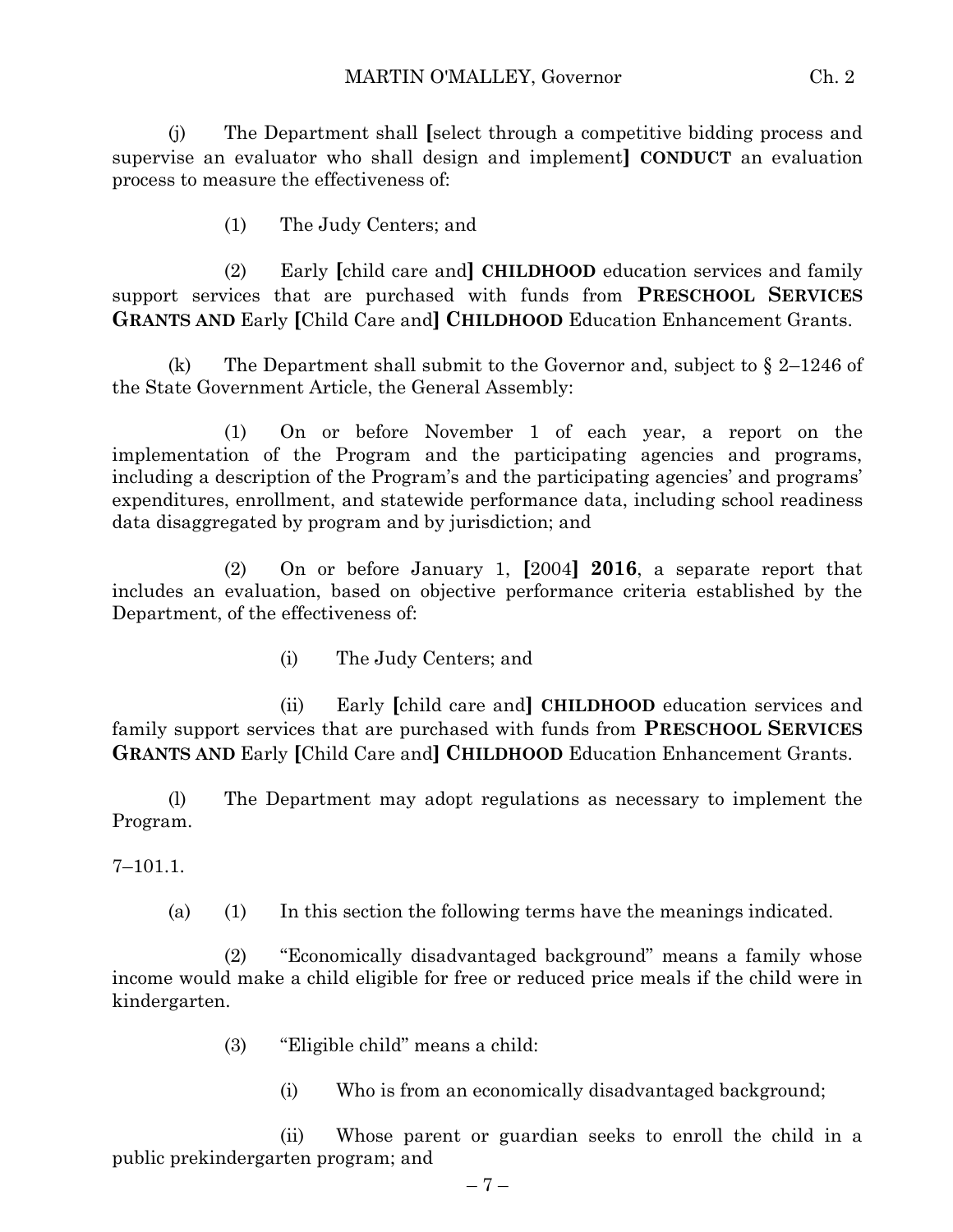(j) The Department shall **[**select through a competitive bidding process and supervise an evaluator who shall design and implement**] CONDUCT** an evaluation process to measure the effectiveness of:

(1) The Judy Centers; and

(2) Early **[**child care and**] CHILDHOOD** education services and family support services that are purchased with funds from **PRESCHOOL SERVICES GRANTS AND** Early **[**Child Care and**] CHILDHOOD** Education Enhancement Grants.

(k) The Department shall submit to the Governor and, subject to  $\S 2-1246$  of the State Government Article, the General Assembly:

(1) On or before November 1 of each year, a report on the implementation of the Program and the participating agencies and programs, including a description of the Program's and the participating agencies' and programs' expenditures, enrollment, and statewide performance data, including school readiness data disaggregated by program and by jurisdiction; and

(2) On or before January 1, **[**2004**] 2016**, a separate report that includes an evaluation, based on objective performance criteria established by the Department, of the effectiveness of:

(i) The Judy Centers; and

(ii) Early **[**child care and**] CHILDHOOD** education services and family support services that are purchased with funds from **PRESCHOOL SERVICES GRANTS AND** Early **[**Child Care and**] CHILDHOOD** Education Enhancement Grants.

(l) The Department may adopt regulations as necessary to implement the Program.

7–101.1.

(a) (1) In this section the following terms have the meanings indicated.

(2) "Economically disadvantaged background" means a family whose income would make a child eligible for free or reduced price meals if the child were in kindergarten.

- (3) "Eligible child" means a child:
	- (i) Who is from an economically disadvantaged background;

(ii) Whose parent or guardian seeks to enroll the child in a public prekindergarten program; and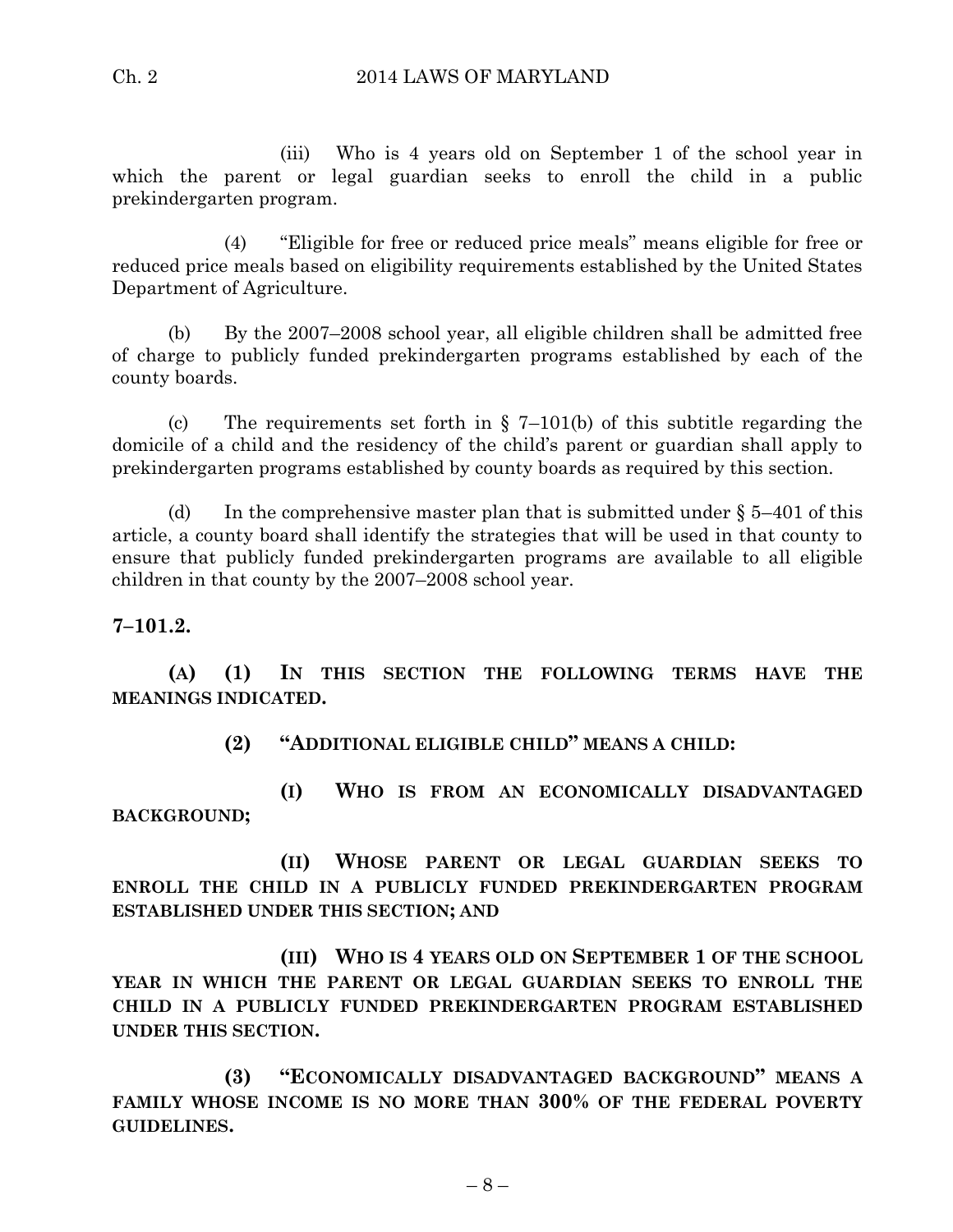(iii) Who is 4 years old on September 1 of the school year in which the parent or legal guardian seeks to enroll the child in a public prekindergarten program.

(4) "Eligible for free or reduced price meals" means eligible for free or reduced price meals based on eligibility requirements established by the United States Department of Agriculture.

(b) By the 2007–2008 school year, all eligible children shall be admitted free of charge to publicly funded prekindergarten programs established by each of the county boards.

(c) The requirements set forth in  $\S$  7–101(b) of this subtitle regarding the domicile of a child and the residency of the child's parent or guardian shall apply to prekindergarten programs established by county boards as required by this section.

(d) In the comprehensive master plan that is submitted under  $\S 5-401$  of this article, a county board shall identify the strategies that will be used in that county to ensure that publicly funded prekindergarten programs are available to all eligible children in that county by the 2007–2008 school year.

# **7–101.2.**

**(A) (1) IN THIS SECTION THE FOLLOWING TERMS HAVE THE MEANINGS INDICATED.**

**(2) "ADDITIONAL ELIGIBLE CHILD" MEANS A CHILD:**

**(I) WHO IS FROM AN ECONOMICALLY DISADVANTAGED BACKGROUND;**

**(II) WHOSE PARENT OR LEGAL GUARDIAN SEEKS TO ENROLL THE CHILD IN A PUBLICLY FUNDED PREKINDERGARTEN PROGRAM ESTABLISHED UNDER THIS SECTION; AND**

**(III) WHO IS 4 YEARS OLD ON SEPTEMBER 1 OF THE SCHOOL YEAR IN WHICH THE PARENT OR LEGAL GUARDIAN SEEKS TO ENROLL THE CHILD IN A PUBLICLY FUNDED PREKINDERGARTEN PROGRAM ESTABLISHED UNDER THIS SECTION.**

**(3) "ECONOMICALLY DISADVANTAGED BACKGROUND" MEANS A FAMILY WHOSE INCOME IS NO MORE THAN 300% OF THE FEDERAL POVERTY GUIDELINES.**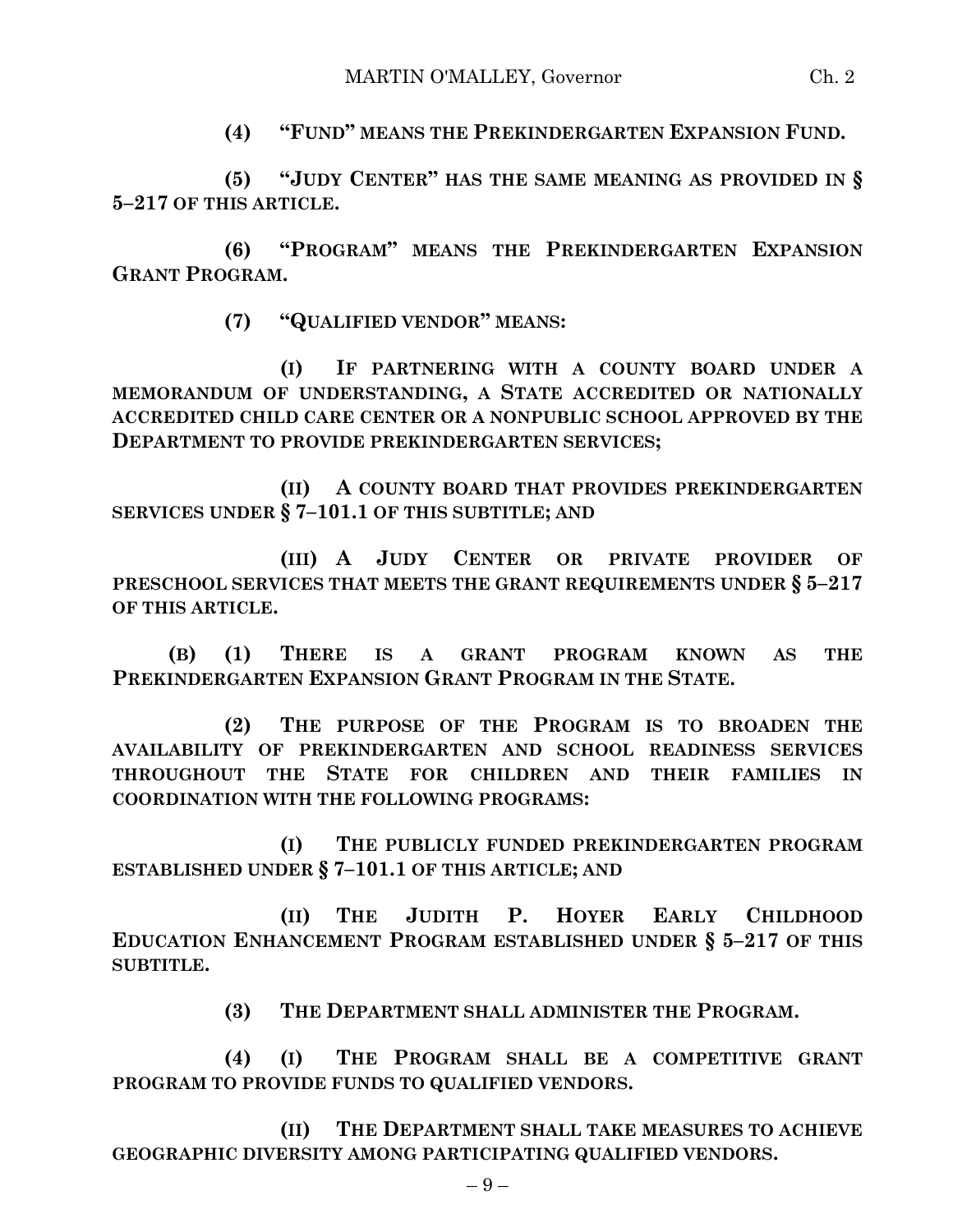**(4) "FUND" MEANS THE PREKINDERGARTEN EXPANSION FUND.**

**(5) "JUDY CENTER" HAS THE SAME MEANING AS PROVIDED IN § 5–217 OF THIS ARTICLE.**

**(6) "PROGRAM" MEANS THE PREKINDERGARTEN EXPANSION GRANT PROGRAM.**

**(7) "QUALIFIED VENDOR" MEANS:**

**(I) IF PARTNERING WITH A COUNTY BOARD UNDER A MEMORANDUM OF UNDERSTANDING, A STATE ACCREDITED OR NATIONALLY ACCREDITED CHILD CARE CENTER OR A NONPUBLIC SCHOOL APPROVED BY THE DEPARTMENT TO PROVIDE PREKINDERGARTEN SERVICES;**

**(II) A COUNTY BOARD THAT PROVIDES PREKINDERGARTEN SERVICES UNDER § 7–101.1 OF THIS SUBTITLE; AND**

**(III) A JUDY CENTER OR PRIVATE PROVIDER OF PRESCHOOL SERVICES THAT MEETS THE GRANT REQUIREMENTS UNDER § 5–217 OF THIS ARTICLE.**

**(B) (1) THERE IS A GRANT PROGRAM KNOWN AS THE PREKINDERGARTEN EXPANSION GRANT PROGRAM IN THE STATE.**

**(2) THE PURPOSE OF THE PROGRAM IS TO BROADEN THE AVAILABILITY OF PREKINDERGARTEN AND SCHOOL READINESS SERVICES THROUGHOUT THE STATE FOR CHILDREN AND THEIR FAMILIES IN COORDINATION WITH THE FOLLOWING PROGRAMS:**

**(I) THE PUBLICLY FUNDED PREKINDERGARTEN PROGRAM ESTABLISHED UNDER § 7–101.1 OF THIS ARTICLE; AND** 

**(II) THE JUDITH P. HOYER EARLY CHILDHOOD EDUCATION ENHANCEMENT PROGRAM ESTABLISHED UNDER § 5–217 OF THIS SUBTITLE.**

**(3) THE DEPARTMENT SHALL ADMINISTER THE PROGRAM.**

**(4) (I) THE PROGRAM SHALL BE A COMPETITIVE GRANT PROGRAM TO PROVIDE FUNDS TO QUALIFIED VENDORS.**

**(II) THE DEPARTMENT SHALL TAKE MEASURES TO ACHIEVE GEOGRAPHIC DIVERSITY AMONG PARTICIPATING QUALIFIED VENDORS.**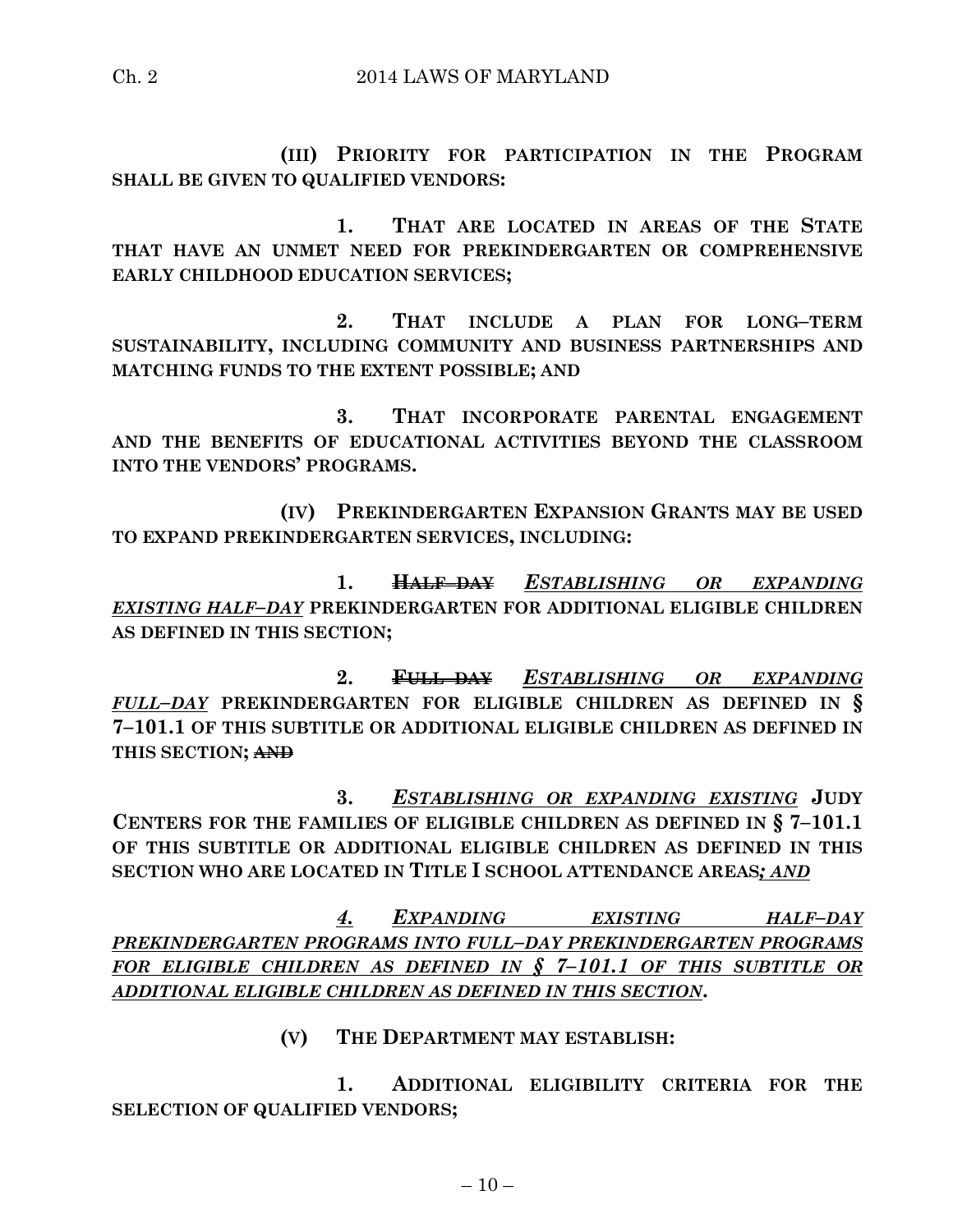**(III) PRIORITY FOR PARTICIPATION IN THE PROGRAM SHALL BE GIVEN TO QUALIFIED VENDORS:**

**1. THAT ARE LOCATED IN AREAS OF THE STATE THAT HAVE AN UNMET NEED FOR PREKINDERGARTEN OR COMPREHENSIVE EARLY CHILDHOOD EDUCATION SERVICES;**

**2. THAT INCLUDE A PLAN FOR LONG–TERM SUSTAINABILITY, INCLUDING COMMUNITY AND BUSINESS PARTNERSHIPS AND MATCHING FUNDS TO THE EXTENT POSSIBLE; AND**

**3. THAT INCORPORATE PARENTAL ENGAGEMENT AND THE BENEFITS OF EDUCATIONAL ACTIVITIES BEYOND THE CLASSROOM INTO THE VENDORS' PROGRAMS.**

**(IV) PREKINDERGARTEN EXPANSION GRANTS MAY BE USED TO EXPAND PREKINDERGARTEN SERVICES, INCLUDING:**

**1. HALF–DAY** *ESTABLISHING OR EXPANDING EXISTING HALF–DAY* **PREKINDERGARTEN FOR ADDITIONAL ELIGIBLE CHILDREN AS DEFINED IN THIS SECTION;**

**2. FULL–DAY** *ESTABLISHING OR EXPANDING FULL–DAY* **PREKINDERGARTEN FOR ELIGIBLE CHILDREN AS DEFINED IN § 7–101.1 OF THIS SUBTITLE OR ADDITIONAL ELIGIBLE CHILDREN AS DEFINED IN THIS SECTION; AND**

**3.** *ESTABLISHING OR EXPANDING EXISTING* **JUDY CENTERS FOR THE FAMILIES OF ELIGIBLE CHILDREN AS DEFINED IN § 7–101.1 OF THIS SUBTITLE OR ADDITIONAL ELIGIBLE CHILDREN AS DEFINED IN THIS SECTION WHO ARE LOCATED IN TITLE I SCHOOL ATTENDANCE AREAS***; AND*

*4. EXPANDING EXISTING HALF–DAY PREKINDERGARTEN PROGRAMS INTO FULL–DAY PREKINDERGARTEN PROGRAMS FOR ELIGIBLE CHILDREN AS DEFINED IN § 7–101.1 OF THIS SUBTITLE OR ADDITIONAL ELIGIBLE CHILDREN AS DEFINED IN THIS SECTION***.**

# **(V) THE DEPARTMENT MAY ESTABLISH:**

**1. ADDITIONAL ELIGIBILITY CRITERIA FOR THE SELECTION OF QUALIFIED VENDORS;**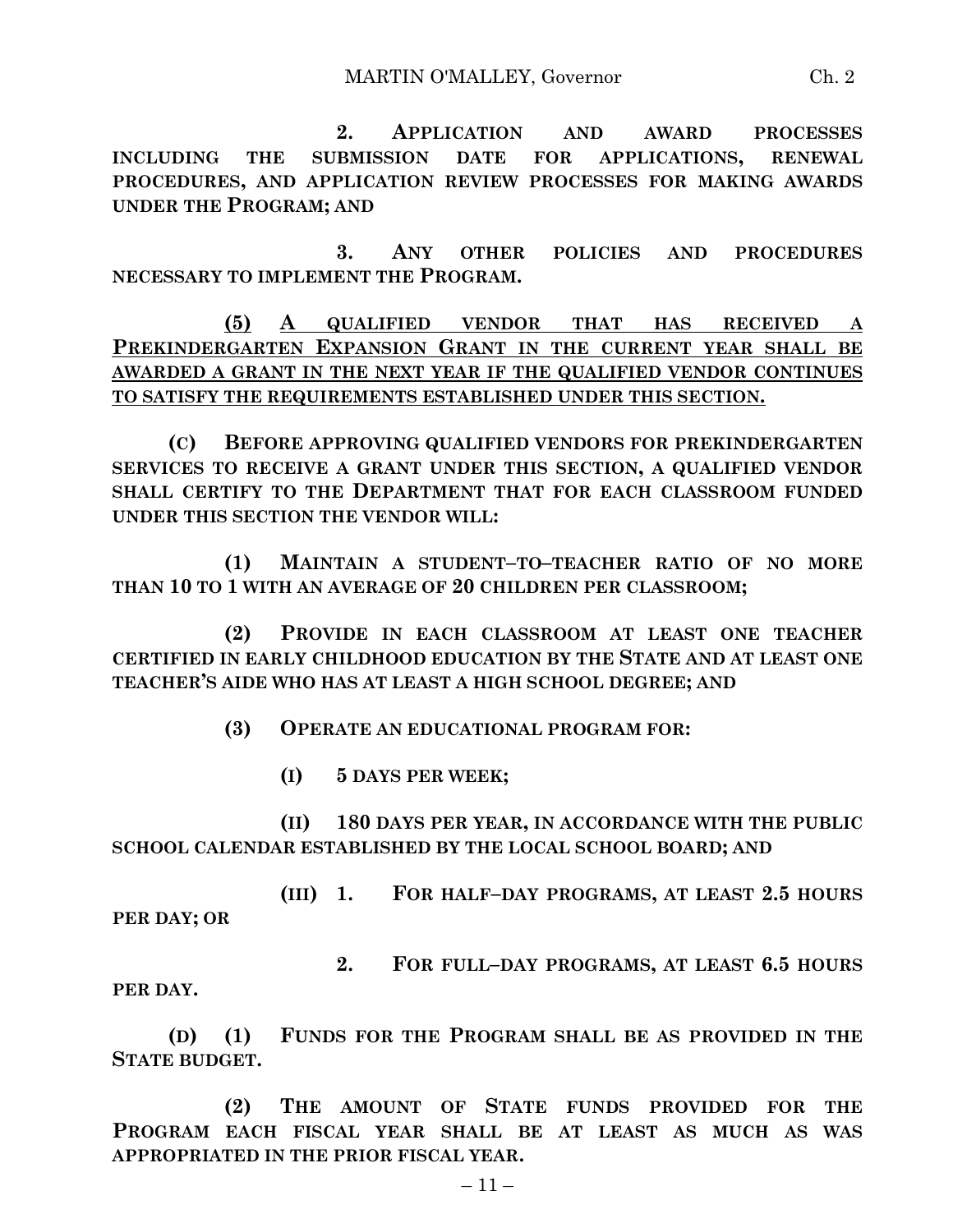**2. APPLICATION AND AWARD PROCESSES INCLUDING THE SUBMISSION DATE FOR APPLICATIONS, RENEWAL PROCEDURES, AND APPLICATION REVIEW PROCESSES FOR MAKING AWARDS UNDER THE PROGRAM; AND**

**3. ANY OTHER POLICIES AND PROCEDURES NECESSARY TO IMPLEMENT THE PROGRAM.**

**(5) A QUALIFIED VENDOR THAT HAS RECEIVED A PREKINDERGARTEN EXPANSION GRANT IN THE CURRENT YEAR SHALL BE AWARDED A GRANT IN THE NEXT YEAR IF THE QUALIFIED VENDOR CONTINUES TO SATISFY THE REQUIREMENTS ESTABLISHED UNDER THIS SECTION.**

**(C) BEFORE APPROVING QUALIFIED VENDORS FOR PREKINDERGARTEN SERVICES TO RECEIVE A GRANT UNDER THIS SECTION, A QUALIFIED VENDOR SHALL CERTIFY TO THE DEPARTMENT THAT FOR EACH CLASSROOM FUNDED UNDER THIS SECTION THE VENDOR WILL:**

**(1) MAINTAIN A STUDENT–TO–TEACHER RATIO OF NO MORE THAN 10 TO 1 WITH AN AVERAGE OF 20 CHILDREN PER CLASSROOM;**

**(2) PROVIDE IN EACH CLASSROOM AT LEAST ONE TEACHER CERTIFIED IN EARLY CHILDHOOD EDUCATION BY THE STATE AND AT LEAST ONE TEACHER'S AIDE WHO HAS AT LEAST A HIGH SCHOOL DEGREE; AND** 

**(3) OPERATE AN EDUCATIONAL PROGRAM FOR:**

**(I) 5 DAYS PER WEEK;**

**(II) 180 DAYS PER YEAR, IN ACCORDANCE WITH THE PUBLIC SCHOOL CALENDAR ESTABLISHED BY THE LOCAL SCHOOL BOARD; AND**

**(III) 1. FOR HALF–DAY PROGRAMS, AT LEAST 2.5 HOURS PER DAY; OR**

**2. FOR FULL–DAY PROGRAMS, AT LEAST 6.5 HOURS** 

**PER DAY.**

**(D) (1) FUNDS FOR THE PROGRAM SHALL BE AS PROVIDED IN THE STATE BUDGET.**

**(2) THE AMOUNT OF STATE FUNDS PROVIDED FOR THE PROGRAM EACH FISCAL YEAR SHALL BE AT LEAST AS MUCH AS WAS APPROPRIATED IN THE PRIOR FISCAL YEAR.**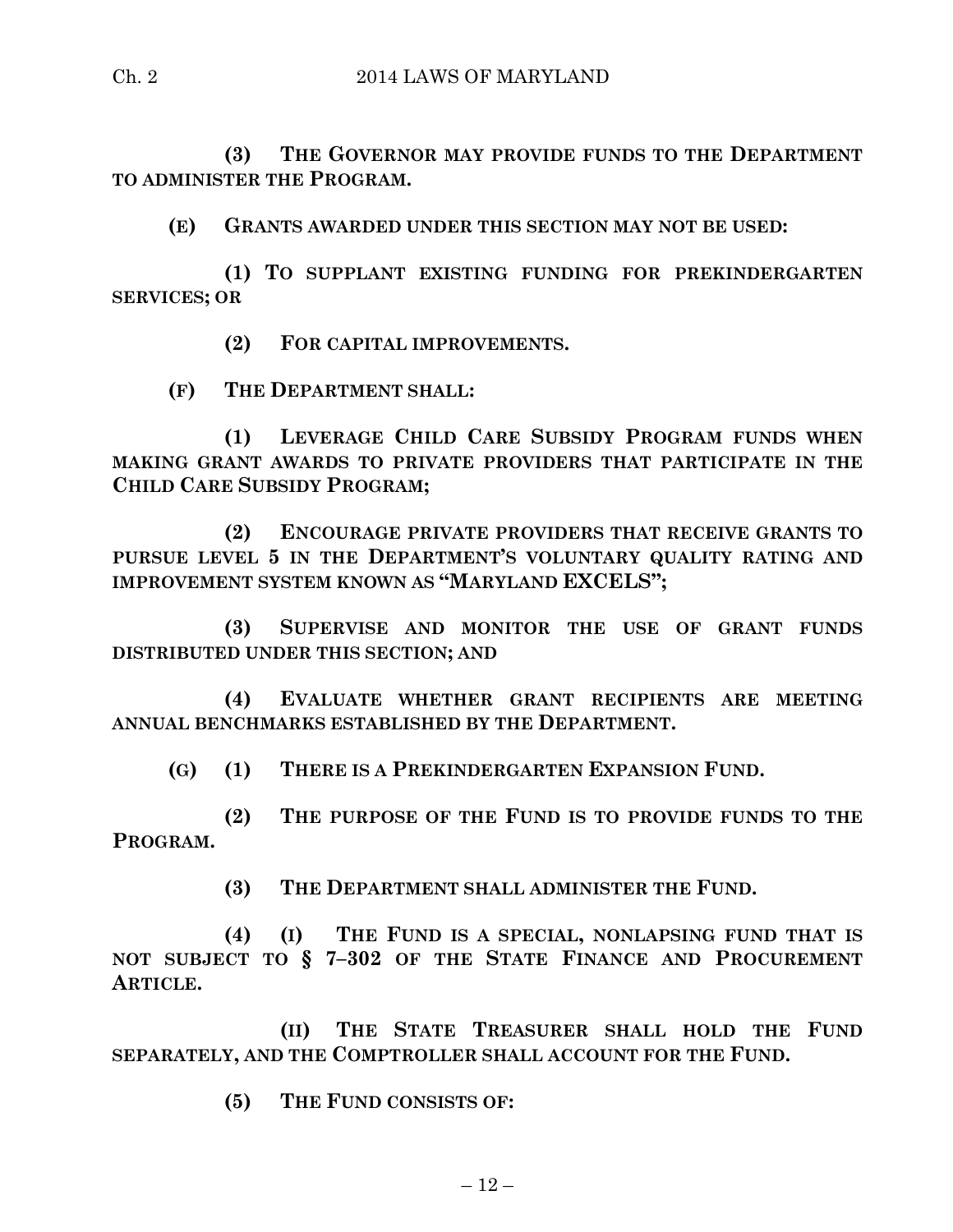**(3) THE GOVERNOR MAY PROVIDE FUNDS TO THE DEPARTMENT TO ADMINISTER THE PROGRAM.**

**(E) GRANTS AWARDED UNDER THIS SECTION MAY NOT BE USED:**

**(1) TO SUPPLANT EXISTING FUNDING FOR PREKINDERGARTEN SERVICES; OR** 

**(2) FOR CAPITAL IMPROVEMENTS.**

**(F) THE DEPARTMENT SHALL:**

**(1) LEVERAGE CHILD CARE SUBSIDY PROGRAM FUNDS WHEN MAKING GRANT AWARDS TO PRIVATE PROVIDERS THAT PARTICIPATE IN THE CHILD CARE SUBSIDY PROGRAM;**

**(2) ENCOURAGE PRIVATE PROVIDERS THAT RECEIVE GRANTS TO PURSUE LEVEL 5 IN THE DEPARTMENT'S VOLUNTARY QUALITY RATING AND IMPROVEMENT SYSTEM KNOWN AS "MARYLAND EXCELS";**

**(3) SUPERVISE AND MONITOR THE USE OF GRANT FUNDS DISTRIBUTED UNDER THIS SECTION; AND** 

**(4) EVALUATE WHETHER GRANT RECIPIENTS ARE MEETING ANNUAL BENCHMARKS ESTABLISHED BY THE DEPARTMENT.**

**(G) (1) THERE IS A PREKINDERGARTEN EXPANSION FUND.**

**(2) THE PURPOSE OF THE FUND IS TO PROVIDE FUNDS TO THE PROGRAM.**

**(3) THE DEPARTMENT SHALL ADMINISTER THE FUND.**

**(4) (I) THE FUND IS A SPECIAL, NONLAPSING FUND THAT IS NOT SUBJECT TO § 7–302 OF THE STATE FINANCE AND PROCUREMENT ARTICLE.**

**(II) THE STATE TREASURER SHALL HOLD THE FUND SEPARATELY, AND THE COMPTROLLER SHALL ACCOUNT FOR THE FUND.**

**(5) THE FUND CONSISTS OF:**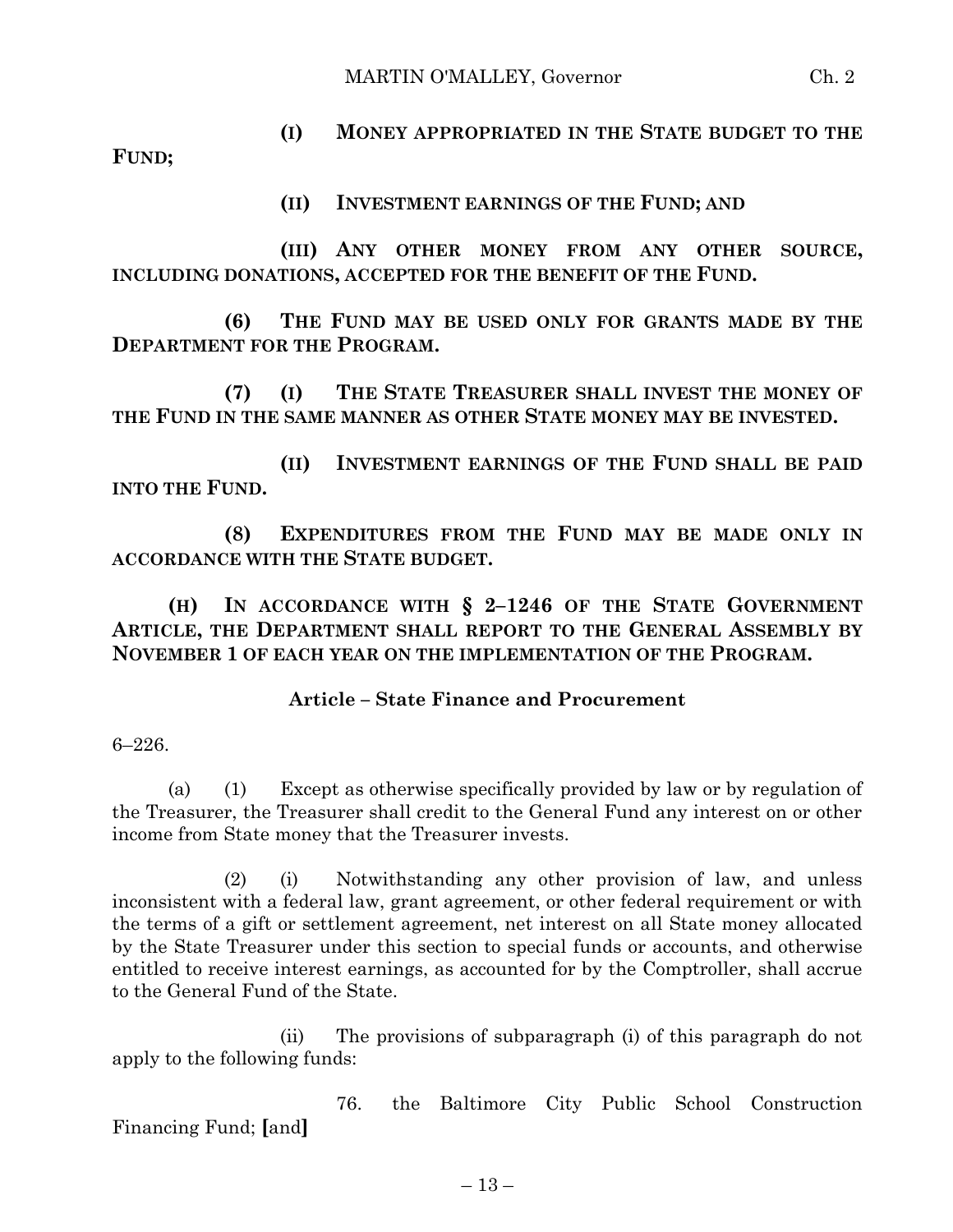**(I) MONEY APPROPRIATED IN THE STATE BUDGET TO THE FUND;**

**(II) INVESTMENT EARNINGS OF THE FUND; AND**

**(III) ANY OTHER MONEY FROM ANY OTHER SOURCE, INCLUDING DONATIONS, ACCEPTED FOR THE BENEFIT OF THE FUND.**

**(6) THE FUND MAY BE USED ONLY FOR GRANTS MADE BY THE DEPARTMENT FOR THE PROGRAM.**

**(7) (I) THE STATE TREASURER SHALL INVEST THE MONEY OF THE FUND IN THE SAME MANNER AS OTHER STATE MONEY MAY BE INVESTED.**

**(II) INVESTMENT EARNINGS OF THE FUND SHALL BE PAID INTO THE FUND.**

**(8) EXPENDITURES FROM THE FUND MAY BE MADE ONLY IN ACCORDANCE WITH THE STATE BUDGET.**

**(H) IN ACCORDANCE WITH § 2–1246 OF THE STATE GOVERNMENT ARTICLE, THE DEPARTMENT SHALL REPORT TO THE GENERAL ASSEMBLY BY NOVEMBER 1 OF EACH YEAR ON THE IMPLEMENTATION OF THE PROGRAM.**

## **Article – State Finance and Procurement**

6–226.

(a) (1) Except as otherwise specifically provided by law or by regulation of the Treasurer, the Treasurer shall credit to the General Fund any interest on or other income from State money that the Treasurer invests.

(2) (i) Notwithstanding any other provision of law, and unless inconsistent with a federal law, grant agreement, or other federal requirement or with the terms of a gift or settlement agreement, net interest on all State money allocated by the State Treasurer under this section to special funds or accounts, and otherwise entitled to receive interest earnings, as accounted for by the Comptroller, shall accrue to the General Fund of the State.

(ii) The provisions of subparagraph (i) of this paragraph do not apply to the following funds:

76. the Baltimore City Public School Construction Financing Fund; **[**and**]**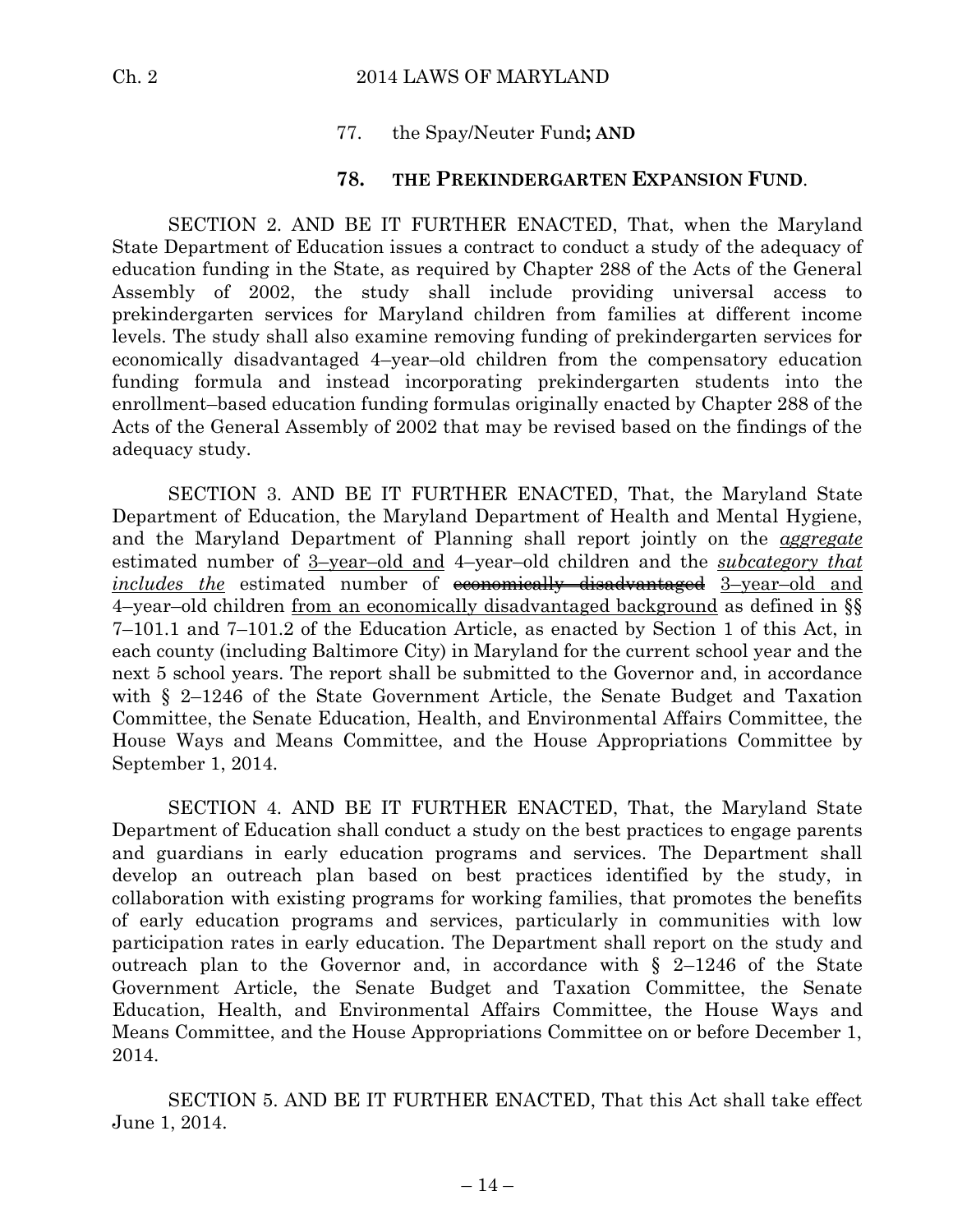## 77. the Spay/Neuter Fund**; AND**

## **78. THE PREKINDERGARTEN EXPANSION FUND**.

SECTION 2. AND BE IT FURTHER ENACTED, That, when the Maryland State Department of Education issues a contract to conduct a study of the adequacy of education funding in the State, as required by Chapter 288 of the Acts of the General Assembly of 2002, the study shall include providing universal access to prekindergarten services for Maryland children from families at different income levels. The study shall also examine removing funding of prekindergarten services for economically disadvantaged 4–year–old children from the compensatory education funding formula and instead incorporating prekindergarten students into the enrollment–based education funding formulas originally enacted by Chapter 288 of the Acts of the General Assembly of 2002 that may be revised based on the findings of the adequacy study.

SECTION 3. AND BE IT FURTHER ENACTED, That, the Maryland State Department of Education, the Maryland Department of Health and Mental Hygiene, and the Maryland Department of Planning shall report jointly on the *aggregate* estimated number of 3–year–old and 4–year–old children and the *subcategory that includes the* estimated number of **economically disadvantaged** 3-year-old and 4–year–old children from an economically disadvantaged background as defined in §§ 7–101.1 and 7–101.2 of the Education Article, as enacted by Section 1 of this Act, in each county (including Baltimore City) in Maryland for the current school year and the next 5 school years. The report shall be submitted to the Governor and, in accordance with § 2–1246 of the State Government Article, the Senate Budget and Taxation Committee, the Senate Education, Health, and Environmental Affairs Committee, the House Ways and Means Committee, and the House Appropriations Committee by September 1, 2014.

SECTION 4. AND BE IT FURTHER ENACTED, That, the Maryland State Department of Education shall conduct a study on the best practices to engage parents and guardians in early education programs and services. The Department shall develop an outreach plan based on best practices identified by the study, in collaboration with existing programs for working families, that promotes the benefits of early education programs and services, particularly in communities with low participation rates in early education. The Department shall report on the study and outreach plan to the Governor and, in accordance with  $\S$  2-1246 of the State Government Article, the Senate Budget and Taxation Committee, the Senate Education, Health, and Environmental Affairs Committee, the House Ways and Means Committee, and the House Appropriations Committee on or before December 1, 2014.

SECTION 5. AND BE IT FURTHER ENACTED, That this Act shall take effect June 1, 2014.